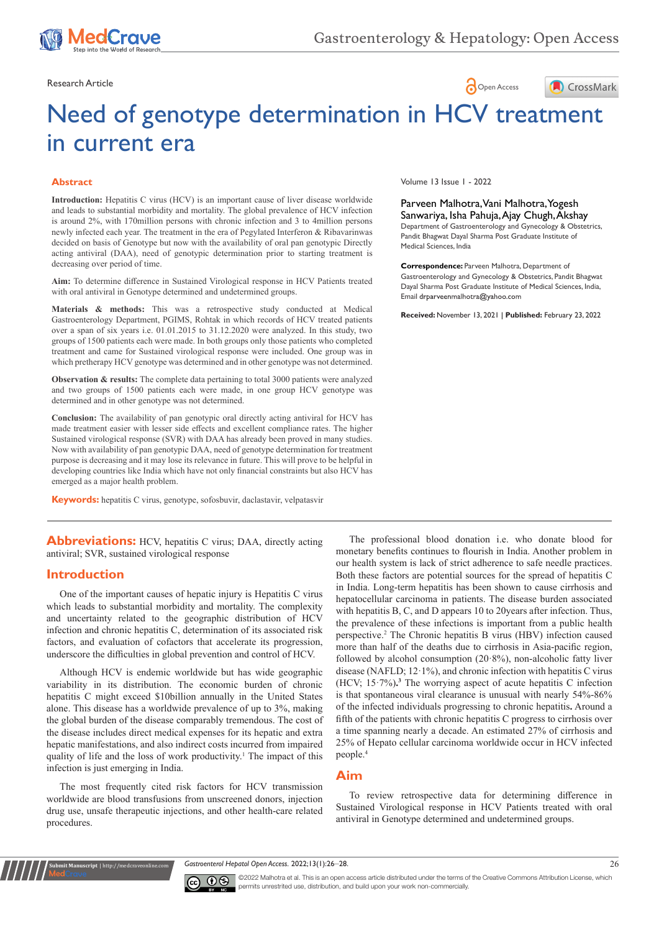

## Research Article **Contract Article** Open Access **Contract Article**



# Need of genotype determination in HCV treatment in current era

#### **Abstract**

**Introduction:** Hepatitis C virus (HCV) is an important cause of liver disease worldwide and leads to substantial morbidity and mortality. The global prevalence of HCV infection is around 2%, with 170million persons with chronic infection and 3 to 4million persons newly infected each year. The treatment in the era of Pegylated Interferon & Ribavarinwas decided on basis of Genotype but now with the availability of oral pan genotypic Directly acting antiviral (DAA), need of genotypic determination prior to starting treatment is decreasing over period of time.

**Aim:** To determine difference in Sustained Virological response in HCV Patients treated with oral antiviral in Genotype determined and undetermined groups.

**Materials & methods:** This was a retrospective study conducted at Medical Gastroenterology Department, PGIMS, Rohtak in which records of HCV treated patients over a span of six years i.e. 01.01.2015 to 31.12.2020 were analyzed. In this study, two groups of 1500 patients each were made. In both groups only those patients who completed treatment and came for Sustained virological response were included. One group was in which pretherapy HCV genotype was determined and in other genotype was not determined.

**Observation & results:** The complete data pertaining to total 3000 patients were analyzed and two groups of 1500 patients each were made, in one group HCV genotype was determined and in other genotype was not determined.

**Conclusion:** The availability of pan genotypic oral directly acting antiviral for HCV has made treatment easier with lesser side effects and excellent compliance rates. The higher Sustained virological response (SVR) with DAA has already been proved in many studies. Now with availability of pan genotypic DAA, need of genotype determination for treatment purpose is decreasing and it may lose its relevance in future. This will prove to be helpful in developing countries like India which have not only financial constraints but also HCV has emerged as a major health problem.

**Keywords:** hepatitis C virus, genotype, sofosbuvir, daclastavir, velpatasvir

**Abbreviations:** HCV, hepatitis C virus; DAA, directly acting antiviral; SVR, sustained virological response

#### **Introduction**

**Rubmit Manuscript** | http://medcraveo

One of the important causes of hepatic injury is Hepatitis C virus which leads to substantial morbidity and mortality. The complexity and uncertainty related to the geographic distribution of HCV infection and chronic hepatitis C, determination of its associated risk factors, and evaluation of cofactors that accelerate its progression, underscore the difficulties in global prevention and control of HCV.

Although HCV is endemic worldwide but has wide geographic variability in its distribution. The economic burden of chronic hepatitis C might exceed \$10billion annually in the United States alone. This disease has a worldwide prevalence of up to 3%, making the global burden of the disease comparably tremendous. The cost of the disease includes direct medical expenses for its hepatic and extra hepatic manifestations, and also indirect costs incurred from impaired quality of life and the loss of work productivity.<sup>1</sup> The impact of this infection is just emerging in India.

The most frequently cited risk factors for HCV transmission worldwide are blood transfusions from unscreened donors, injection drug use, unsafe therapeutic injections, and other health-care related procedures.

Volume 13 Issue 1 - 2022

Parveen Malhotra, Vani Malhotra, Yogesh Sanwariya, Isha Pahuja, Ajay Chugh, Akshay Department of Gastroenterology and Gynecology & Obstetrics, Pandit Bhagwat Dayal Sharma Post Graduate Institute of Medical Sciences, India

**Correspondence:** Parveen Malhotra, Department of Gastroenterology and Gynecology & Obstetrics, Pandit Bhagwat Dayal Sharma Post Graduate Institute of Medical Sciences, India, Email drparveenmalhotra@yahoo.com

**Received:** November 13, 2021 | **Published:** February 23, 2022

The professional blood donation i.e. who donate blood for monetary benefits continues to flourish in India. Another problem in our health system is lack of strict adherence to safe needle practices. Both these factors are potential sources for the spread of hepatitis C in India. Long-term hepatitis has been shown to cause cirrhosis and hepatocellular carcinoma in patients. The disease burden associated with hepatitis B, C, and D appears 10 to 20years after infection. Thus, the prevalence of these infections is important from a public health perspective.2 The Chronic hepatitis B virus (HBV) infection caused more than half of the deaths due to cirrhosis in Asia-pacific region, followed by alcohol consumption (20·8%), non-alcoholic fatty liver disease (NAFLD; 12·1%), and chronic infection with hepatitis C virus (HCV;  $15.7\%$ ).<sup>3</sup> The worrying aspect of acute hepatitis C infection is that spontaneous viral clearance is unusual with nearly 54%-86% of the infected individuals progressing to chronic hepatitis**.** Around a fifth of the patients with chronic hepatitis C progress to cirrhosis over a time spanning nearly a decade. An estimated 27% of cirrhosis and 25% of Hepato cellular carcinoma worldwide occur in HCV infected people.4

## **Aim**

To review retrospective data for determining difference in Sustained Virological response in HCV Patients treated with oral antiviral in Genotype determined and undetermined groups.

*Gastroenterol Hepatol Open Access.* 2022;13(1):26‒28. 26



©2022 Malhotra et al. This is an open access article distributed under the terms of the Creative Commons Attribution License, which permits unrestrited use, distribution, and build upon your work non-commercially.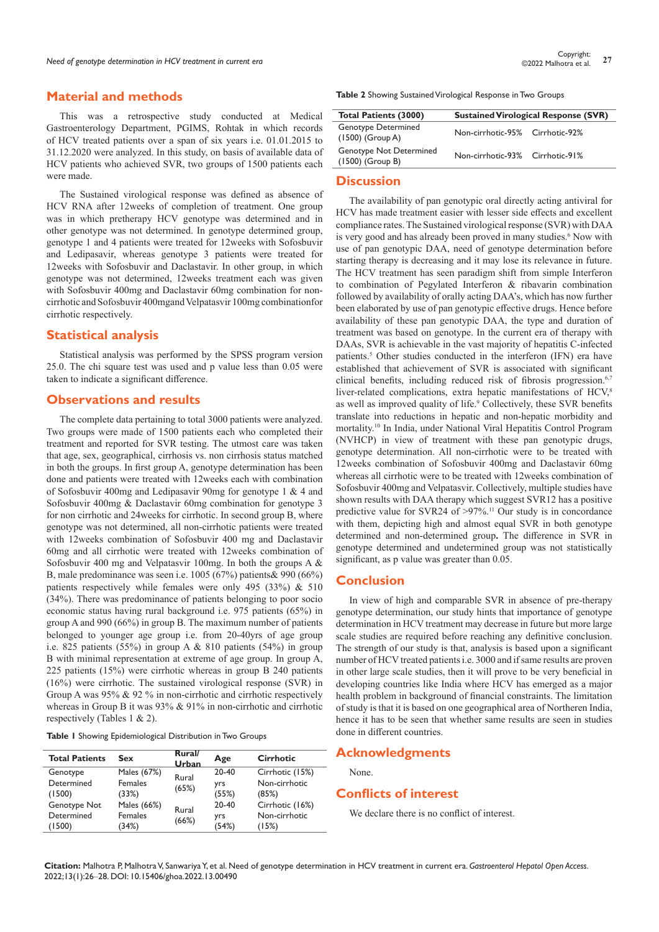## **Material and methods**

This was a retrospective study conducted at Medical Gastroenterology Department, PGIMS, Rohtak in which records of HCV treated patients over a span of six years i.e. 01.01.2015 to 31.12.2020 were analyzed. In this study, on basis of available data of HCV patients who achieved SVR, two groups of 1500 patients each were made.

The Sustained virological response was defined as absence of HCV RNA after 12weeks of completion of treatment. One group was in which pretherapy HCV genotype was determined and in other genotype was not determined. In genotype determined group, genotype 1 and 4 patients were treated for 12weeks with Sofosbuvir and Ledipasavir, whereas genotype 3 patients were treated for 12weeks with Sofosbuvir and Daclastavir. In other group, in which genotype was not determined, 12weeks treatment each was given with Sofosbuvir 400mg and Daclastavir 60mg combination for noncirrhotic and Sofosbuvir 400mgand Velpatasvir 100mg combinationfor cirrhotic respectively.

#### **Statistical analysis**

Statistical analysis was performed by the SPSS program version 25.0. The chi square test was used and p value less than 0.05 were taken to indicate a significant difference.

#### **Observations and results**

The complete data pertaining to total 3000 patients were analyzed. Two groups were made of 1500 patients each who completed their treatment and reported for SVR testing. The utmost care was taken that age, sex, geographical, cirrhosis vs. non cirrhosis status matched in both the groups. In first group A, genotype determination has been done and patients were treated with 12weeks each with combination of Sofosbuvir 400mg and Ledipasavir 90mg for genotype 1 & 4 and Sofosbuvir 400mg & Daclastavir 60mg combination for genotype 3 for non cirrhotic and 24weeks for cirrhotic. In second group B, where genotype was not determined, all non-cirrhotic patients were treated with 12weeks combination of Sofosbuvir 400 mg and Daclastavir 60mg and all cirrhotic were treated with 12weeks combination of Sofosbuvir 400 mg and Velpatasvir 100mg. In both the groups A & B, male predominance was seen i.e. 1005 (67%) patients& 990 (66%) patients respectively while females were only 495 (33%) & 510 (34%). There was predominance of patients belonging to poor socio economic status having rural background i.e. 975 patients (65%) in group A and 990 (66%) in group B. The maximum number of patients belonged to younger age group i.e. from 20-40yrs of age group i.e. 825 patients (55%) in group A & 810 patients (54%) in group B with minimal representation at extreme of age group. In group A, 225 patients (15%) were cirrhotic whereas in group B 240 patients (16%) were cirrhotic. The sustained virological response (SVR) in Group A was 95% & 92 % in non-cirrhotic and cirrhotic respectively whereas in Group B it was 93% & 91% in non-cirrhotic and cirrhotic respectively (Tables 1 & 2).

**Table 1** Showing Epidemiological Distribution in Two Groups

| <b>Total Patients</b> | Sex         | Rural/<br>Urban | Age   | <b>Cirrhotic</b> |
|-----------------------|-------------|-----------------|-------|------------------|
| Genotype              | Males (67%) | Rural           | 20-40 | Cirrhotic (15%)  |
| Determined            | Females     | (65%)           | yrs   | Non-cirrhotic    |
| (1500)                | (33%)       |                 | (55%) | (85%)            |
| Genotype Not          | Males (66%) | Rural<br>(66%)  | 20-40 | Cirrhotic (16%)  |
| Determined            | Females     |                 | yrs   | Non-cirrhotic    |
| (1500)                | (34%)       |                 | (54%) | (15%)            |

**Table 2** Showing Sustained Virological Response in Two Groups

| <b>Total Patients (3000)</b>                     | <b>Sustained Virological Response (SVR)</b> |  |  |
|--------------------------------------------------|---------------------------------------------|--|--|
| <b>Genotype Determined</b><br>$(1500)$ (Group A) | Non-cirrhotic-95% Cirrhotic-92%             |  |  |
| Genotype Not Determined<br>$(1500)$ (Group B)    | Non-cirrhotic-93% Cirrhotic-91%             |  |  |

## **Discussion**

The availability of pan genotypic oral directly acting antiviral for HCV has made treatment easier with lesser side effects and excellent compliance rates. The Sustained virological response (SVR) with DAA is very good and has already been proved in many studies.<sup>6</sup> Now with use of pan genotypic DAA, need of genotype determination before starting therapy is decreasing and it may lose its relevance in future. The HCV treatment has seen paradigm shift from simple Interferon to combination of Pegylated Interferon & ribavarin combination followed by availability of orally acting DAA's, which has now further been elaborated by use of pan genotypic effective drugs. Hence before availability of these pan genotypic DAA, the type and duration of treatment was based on genotype. In the current era of therapy with DAAs, SVR is achievable in the vast majority of hepatitis C-infected patients.<sup>5</sup> Other studies conducted in the interferon (IFN) era have established that achievement of SVR is associated with significant clinical benefits, including reduced risk of fibrosis progression.<sup>6,7</sup> liver-related complications, extra hepatic manifestations of HCV,8 as well as improved quality of life.<sup>9</sup> Collectively, these SVR benefits translate into reductions in hepatic and non-hepatic morbidity and mortality.10 In India, under National Viral Hepatitis Control Program (NVHCP) in view of treatment with these pan genotypic drugs, genotype determination. All non-cirrhotic were to be treated with 12weeks combination of Sofosbuvir 400mg and Daclastavir 60mg whereas all cirrhotic were to be treated with 12weeks combination of Sofosbuvir 400mg and Velpatasvir. Collectively, multiple studies have shown results with DAA therapy which suggest SVR12 has a positive predictive value for SVR24 of  $>97\%$ .<sup>11</sup> Our study is in concordance with them, depicting high and almost equal SVR in both genotype determined and non-determined group**.** The difference in SVR in genotype determined and undetermined group was not statistically significant, as p value was greater than 0.05.

#### **Conclusion**

In view of high and comparable SVR in absence of pre-therapy genotype determination, our study hints that importance of genotype determination in HCV treatment may decrease in future but more large scale studies are required before reaching any definitive conclusion. The strength of our study is that, analysis is based upon a significant number of HCV treated patients i.e. 3000 and if same results are proven in other large scale studies, then it will prove to be very beneficial in developing countries like India where HCV has emerged as a major health problem in background of financial constraints. The limitation of study is that it is based on one geographical area of Northeren India, hence it has to be seen that whether same results are seen in studies done in different countries.

## **Acknowledgments**

None.

## **Conflicts of interest**

We declare there is no conflict of interest.

**Citation:** Malhotra P, Malhotra V, Sanwariya Y, et al. Need of genotype determination in HCV treatment in current era. *Gastroenterol Hepatol Open Access.*  2022;13(1):26‒28. DOI: [10.15406/ghoa.2022.13.00490](https://doi.org/10.15406/ghoa.2022.13.00490)